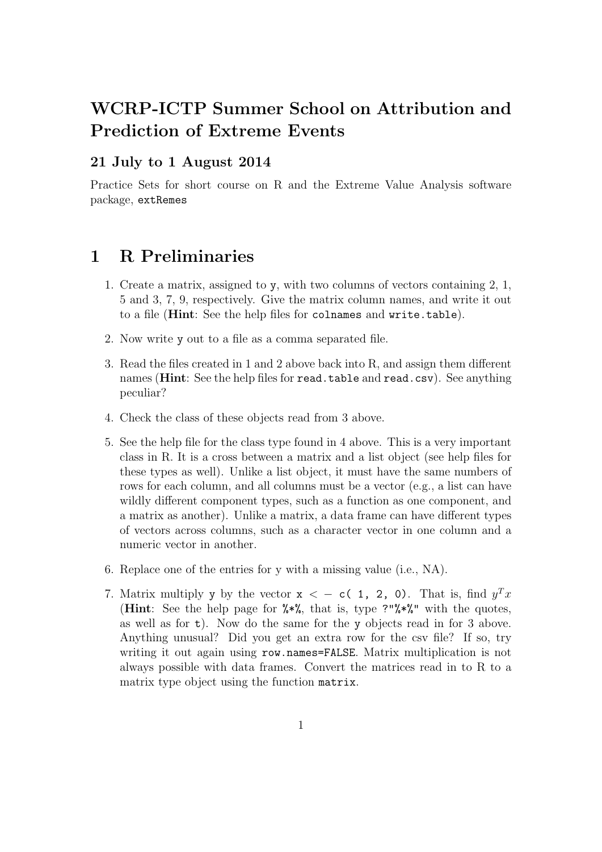# WCRP-ICTP Summer School on Attribution and Prediction of Extreme Events

#### 21 July to 1 August 2014

Practice Sets for short course on R and the Extreme Value Analysis software package, extRemes

## 1 R Preliminaries

- 1. Create a matrix, assigned to y, with two columns of vectors containing 2, 1, 5 and 3, 7, 9, respectively. Give the matrix column names, and write it out to a file (Hint: See the help files for colnames and write.table).
- 2. Now write y out to a file as a comma separated file.
- 3. Read the files created in 1 and 2 above back into R, and assign them different names (**Hint**: See the help files for read.table and read.csv). See anything peculiar?
- 4. Check the class of these objects read from 3 above.
- 5. See the help file for the class type found in 4 above. This is a very important class in R. It is a cross between a matrix and a list object (see help files for these types as well). Unlike a list object, it must have the same numbers of rows for each column, and all columns must be a vector (e.g., a list can have wildly different component types, such as a function as one component, and a matrix as another). Unlike a matrix, a data frame can have different types of vectors across columns, such as a character vector in one column and a numeric vector in another.
- 6. Replace one of the entries for y with a missing value (i.e., NA).
- 7. Matrix multiply y by the vector  $x < -c(1, 2, 0)$ . That is, find  $y^T x$ (Hint: See the help page for  $\frac{1}{2}$ , that is, type ?" $\frac{1}{2}$ , with the quotes, as well as for  $t$ ). Now do the same for the y objects read in for 3 above. Anything unusual? Did you get an extra row for the csv file? If so, try writing it out again using row.names=FALSE. Matrix multiplication is not always possible with data frames. Convert the matrices read in to R to a matrix type object using the function matrix.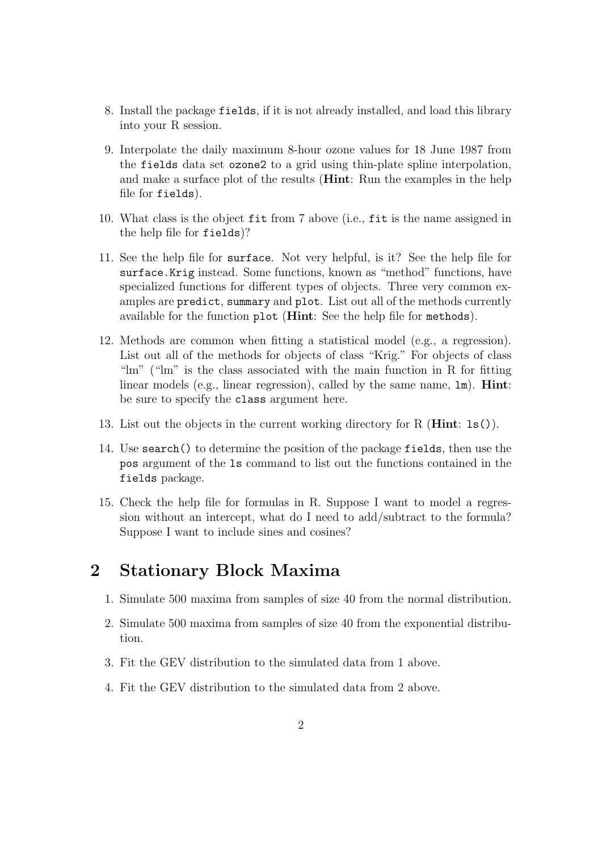- 8. Install the package fields, if it is not already installed, and load this library into your R session.
- 9. Interpolate the daily maximum 8-hour ozone values for 18 June 1987 from the fields data set ozone2 to a grid using thin-plate spline interpolation, and make a surface plot of the results (**Hint**: Run the examples in the help file for fields).
- 10. What class is the object fit from 7 above (i.e., fit is the name assigned in the help file for fields)?
- 11. See the help file for surface. Not very helpful, is it? See the help file for surface.Krig instead. Some functions, known as "method" functions, have specialized functions for different types of objects. Three very common examples are predict, summary and plot. List out all of the methods currently available for the function plot (Hint: See the help file for methods).
- 12. Methods are common when fitting a statistical model (e.g., a regression). List out all of the methods for objects of class "Krig." For objects of class "lm" ("lm" is the class associated with the main function in R for fitting linear models (e.g., linear regression), called by the same name,  $1m$ ). **Hint**: be sure to specify the class argument here.
- 13. List out the objects in the current working directory for R (Hint: ls()).
- 14. Use search() to determine the position of the package fields, then use the pos argument of the ls command to list out the functions contained in the fields package.
- 15. Check the help file for formulas in R. Suppose I want to model a regression without an intercept, what do I need to add/subtract to the formula? Suppose I want to include sines and cosines?

# 2 Stationary Block Maxima

- 1. Simulate 500 maxima from samples of size 40 from the normal distribution.
- 2. Simulate 500 maxima from samples of size 40 from the exponential distribution.
- 3. Fit the GEV distribution to the simulated data from 1 above.
- 4. Fit the GEV distribution to the simulated data from 2 above.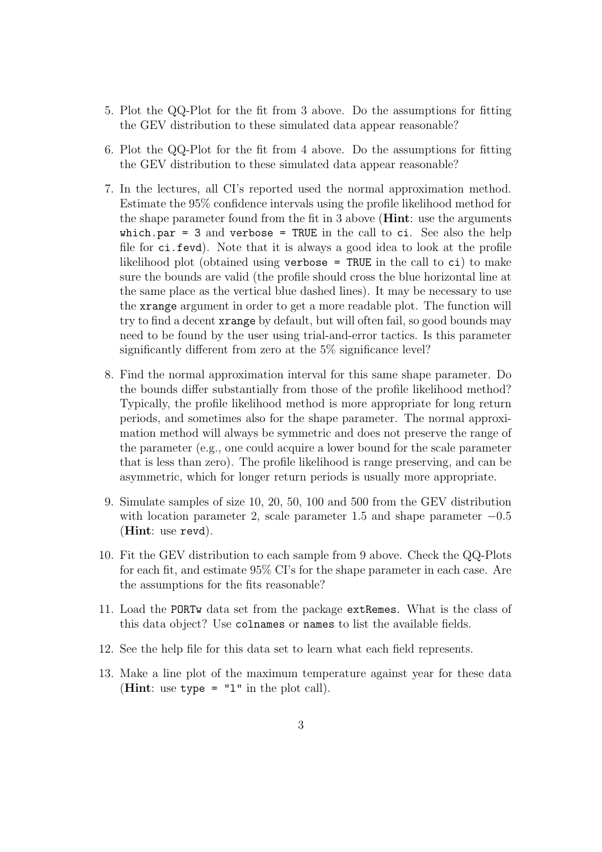- 5. Plot the QQ-Plot for the fit from 3 above. Do the assumptions for fitting the GEV distribution to these simulated data appear reasonable?
- 6. Plot the QQ-Plot for the fit from 4 above. Do the assumptions for fitting the GEV distribution to these simulated data appear reasonable?
- 7. In the lectures, all CI's reported used the normal approximation method. Estimate the 95% confidence intervals using the profile likelihood method for the shape parameter found from the fit in 3 above (Hint: use the arguments which.par = 3 and verbose = TRUE in the call to  $ci$ . See also the help file for ci.fevd). Note that it is always a good idea to look at the profile likelihood plot (obtained using verbose = TRUE in the call to ci) to make sure the bounds are valid (the profile should cross the blue horizontal line at the same place as the vertical blue dashed lines). It may be necessary to use the xrange argument in order to get a more readable plot. The function will try to find a decent xrange by default, but will often fail, so good bounds may need to be found by the user using trial-and-error tactics. Is this parameter significantly different from zero at the 5% significance level?
- 8. Find the normal approximation interval for this same shape parameter. Do the bounds differ substantially from those of the profile likelihood method? Typically, the profile likelihood method is more appropriate for long return periods, and sometimes also for the shape parameter. The normal approximation method will always be symmetric and does not preserve the range of the parameter (e.g., one could acquire a lower bound for the scale parameter that is less than zero). The profile likelihood is range preserving, and can be asymmetric, which for longer return periods is usually more appropriate.
- 9. Simulate samples of size 10, 20, 50, 100 and 500 from the GEV distribution with location parameter 2, scale parameter 1.5 and shape parameter  $-0.5$ (Hint: use revd).
- 10. Fit the GEV distribution to each sample from 9 above. Check the QQ-Plots for each fit, and estimate 95% CI's for the shape parameter in each case. Are the assumptions for the fits reasonable?
- 11. Load the PORTw data set from the package extRemes. What is the class of this data object? Use colnames or names to list the available fields.
- 12. See the help file for this data set to learn what each field represents.
- 13. Make a line plot of the maximum temperature against year for these data (**Hint**: use type =  $"1"$  in the plot call).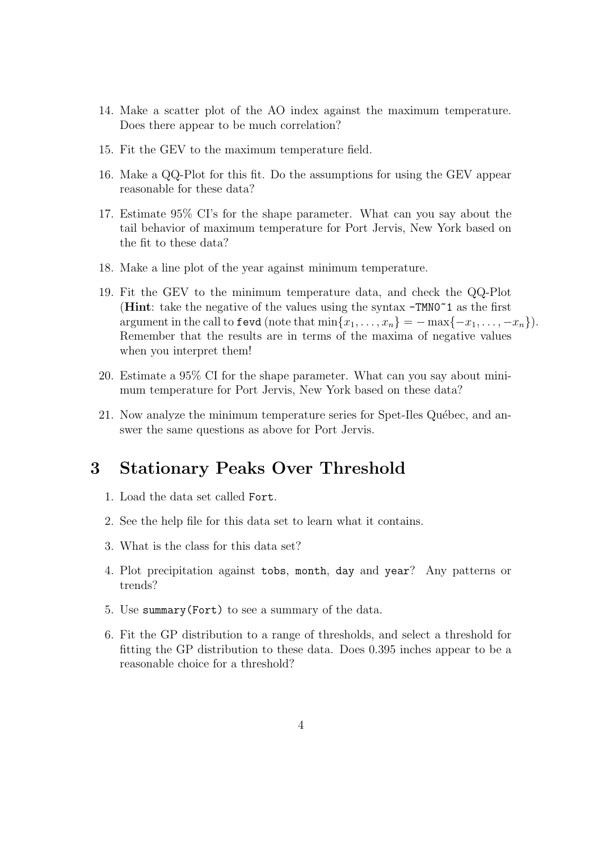- 14. Make a scatter plot of the AO index against the maximum temperature. Does there appear to be much correlation?
- 15. Fit the GEV to the maximum temperature field.
- 16. Make a QQ-Plot for this fit. Do the assumptions for using the GEV appear reasonable for these data?
- 17. Estimate 95% CI's for the shape parameter. What can you say about the tail behavior of maximum temperature for Port Jervis, New York based on the fit to these data?
- 18. Make a line plot of the year against minimum temperature.
- 19. Fit the GEV to the minimum temperature data, and check the QQ-Plot (Hint: take the negative of the values using the syntax  $-TMNO^21$  as the first argument in the call to fevd (note that  $\min\{x_1, \ldots, x_n\} = -\max\{-x_1, \ldots, -x_n\}$ ). Remember that the results are in terms of the maxima of negative values when you interpret them!
- 20. Estimate a 95% CI for the shape parameter. What can you say about minimum temperature for Port Jervis, New York based on these data?
- 21. Now analyze the minimum temperature series for Spet-Iles Québec, and answer the same questions as above for Port Jervis.

#### 3 Stationary Peaks Over Threshold

- 1. Load the data set called Fort.
- 2. See the help file for this data set to learn what it contains.
- 3. What is the class for this data set?
- 4. Plot precipitation against tobs, month, day and year? Any patterns or trends?
- 5. Use summary(Fort) to see a summary of the data.
- 6. Fit the GP distribution to a range of thresholds, and select a threshold for fitting the GP distribution to these data. Does 0.395 inches appear to be a reasonable choice for a threshold?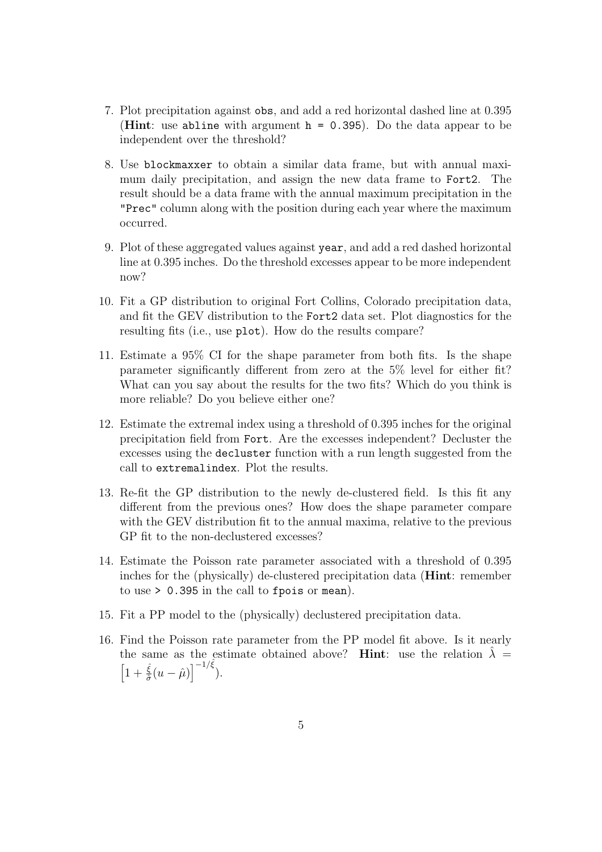- 7. Plot precipitation against obs, and add a red horizontal dashed line at 0.395 (**Hint**: use abline with argument  $h = 0.395$ ). Do the data appear to be independent over the threshold?
- 8. Use blockmaxxer to obtain a similar data frame, but with annual maximum daily precipitation, and assign the new data frame to Fort2. The result should be a data frame with the annual maximum precipitation in the "Prec" column along with the position during each year where the maximum occurred.
- 9. Plot of these aggregated values against year, and add a red dashed horizontal line at 0.395 inches. Do the threshold excesses appear to be more independent now?
- 10. Fit a GP distribution to original Fort Collins, Colorado precipitation data, and fit the GEV distribution to the Fort2 data set. Plot diagnostics for the resulting fits (i.e., use plot). How do the results compare?
- 11. Estimate a 95% CI for the shape parameter from both fits. Is the shape parameter significantly different from zero at the 5% level for either fit? What can you say about the results for the two fits? Which do you think is more reliable? Do you believe either one?
- 12. Estimate the extremal index using a threshold of 0.395 inches for the original precipitation field from Fort. Are the excesses independent? Decluster the excesses using the decluster function with a run length suggested from the call to extremalindex. Plot the results.
- 13. Re-fit the GP distribution to the newly de-clustered field. Is this fit any different from the previous ones? How does the shape parameter compare with the GEV distribution fit to the annual maxima, relative to the previous GP fit to the non-declustered excesses?
- 14. Estimate the Poisson rate parameter associated with a threshold of 0.395 inches for the (physically) de-clustered precipitation data (Hint: remember to use > 0.395 in the call to fpois or mean).
- 15. Fit a PP model to the (physically) declustered precipitation data.
- 16. Find the Poisson rate parameter from the PP model fit above. Is it nearly the same as the estimate obtained above? Hint: use the relation  $\lambda =$  $\left[1+\frac{\hat{\xi}}{\hat{\sigma}}(u-\hat{\mu})\right]^{-1/\hat{\xi}}).$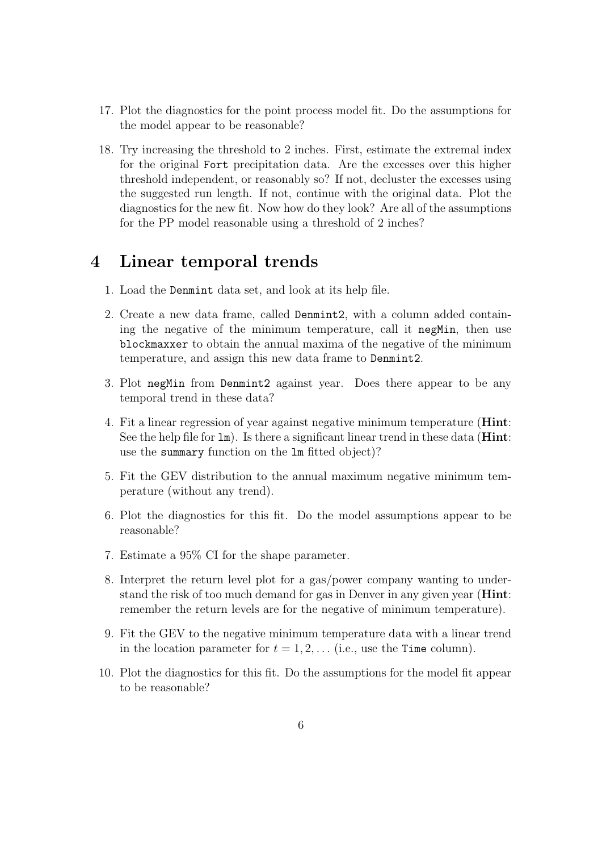- 17. Plot the diagnostics for the point process model fit. Do the assumptions for the model appear to be reasonable?
- 18. Try increasing the threshold to 2 inches. First, estimate the extremal index for the original Fort precipitation data. Are the excesses over this higher threshold independent, or reasonably so? If not, decluster the excesses using the suggested run length. If not, continue with the original data. Plot the diagnostics for the new fit. Now how do they look? Are all of the assumptions for the PP model reasonable using a threshold of 2 inches?

# 4 Linear temporal trends

- 1. Load the Denmint data set, and look at its help file.
- 2. Create a new data frame, called Denmint2, with a column added containing the negative of the minimum temperature, call it negMin, then use blockmaxxer to obtain the annual maxima of the negative of the minimum temperature, and assign this new data frame to Denmint2.
- 3. Plot negMin from Denmint2 against year. Does there appear to be any temporal trend in these data?
- 4. Fit a linear regression of year against negative minimum temperature (Hint: See the help file for  $\text{Im}$ ). Is there a significant linear trend in these data (**Hint**: use the summary function on the lm fitted object)?
- 5. Fit the GEV distribution to the annual maximum negative minimum temperature (without any trend).
- 6. Plot the diagnostics for this fit. Do the model assumptions appear to be reasonable?
- 7. Estimate a 95% CI for the shape parameter.
- 8. Interpret the return level plot for a gas/power company wanting to understand the risk of too much demand for gas in Denver in any given year (Hint: remember the return levels are for the negative of minimum temperature).
- 9. Fit the GEV to the negative minimum temperature data with a linear trend in the location parameter for  $t = 1, 2, \ldots$  (i.e., use the Time column).
- 10. Plot the diagnostics for this fit. Do the assumptions for the model fit appear to be reasonable?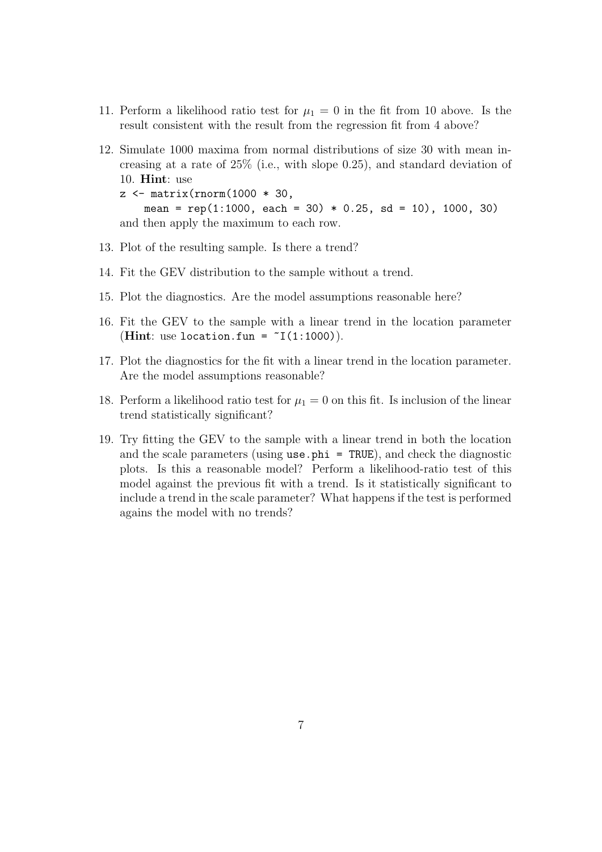- 11. Perform a likelihood ratio test for  $\mu_1 = 0$  in the fit from 10 above. Is the result consistent with the result from the regression fit from 4 above?
- 12. Simulate 1000 maxima from normal distributions of size 30 with mean increasing at a rate of 25% (i.e., with slope 0.25), and standard deviation of 10. Hint: use  $z \leftarrow \text{matrix}(rnorm(1000 * 30,$ mean =  $rep(1:1000, each = 30) * 0.25, sd = 10, 1000, 30)$ and then apply the maximum to each row.
- 13. Plot of the resulting sample. Is there a trend?
- 14. Fit the GEV distribution to the sample without a trend.
- 15. Plot the diagnostics. Are the model assumptions reasonable here?
- 16. Fit the GEV to the sample with a linear trend in the location parameter (Hint: use location.fun =  $\tilde{I}(1:1000)$ ).
- 17. Plot the diagnostics for the fit with a linear trend in the location parameter. Are the model assumptions reasonable?
- 18. Perform a likelihood ratio test for  $\mu_1 = 0$  on this fit. Is inclusion of the linear trend statistically significant?
- 19. Try fitting the GEV to the sample with a linear trend in both the location and the scale parameters (using  $use.phi = TRUE$ ), and check the diagnostic plots. Is this a reasonable model? Perform a likelihood-ratio test of this model against the previous fit with a trend. Is it statistically significant to include a trend in the scale parameter? What happens if the test is performed agains the model with no trends?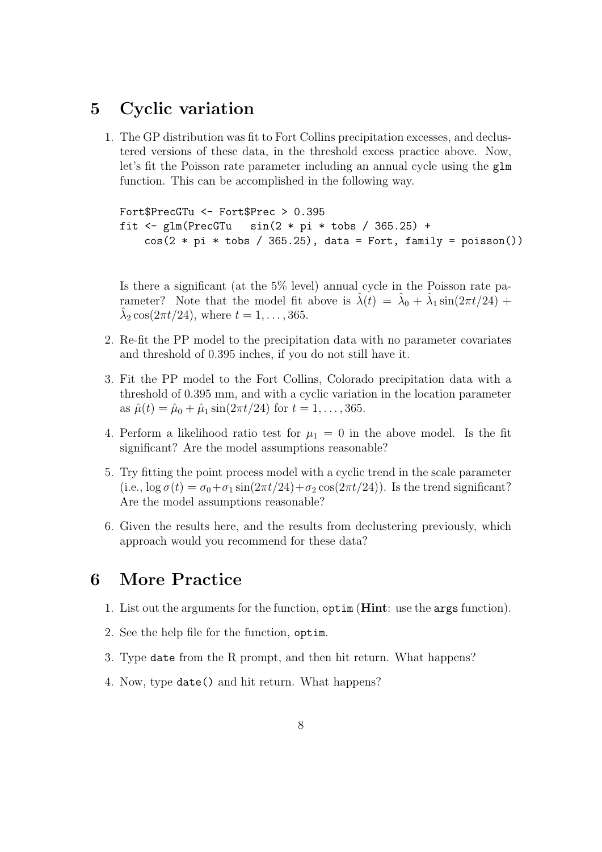## 5 Cyclic variation

1. The GP distribution was fit to Fort Collins precipitation excesses, and declustered versions of these data, in the threshold excess practice above. Now, let's fit the Poisson rate parameter including an annual cycle using the glm function. This can be accomplished in the following way.

```
Fort$PrecGTu <- Fort$Prec > 0.395
fit \le glm(PrecGTu \sin(2 * pi * tobs / 365.25) +
    cos(2 * pi * tobs / 365.25), data = Fort, family = poisson())
```
Is there a significant (at the 5% level) annual cycle in the Poisson rate parameter? Note that the model fit above is  $\hat{\lambda}(t) = \hat{\lambda}_0 + \hat{\lambda}_1 \sin(2\pi t/24)$  +  $\hat{\lambda}_2 \cos(2\pi t/24)$ , where  $t = 1, ..., 365$ .

- 2. Re-fit the PP model to the precipitation data with no parameter covariates and threshold of 0.395 inches, if you do not still have it.
- 3. Fit the PP model to the Fort Collins, Colorado precipitation data with a threshold of 0.395 mm, and with a cyclic variation in the location parameter as  $\hat{\mu}(t) = \hat{\mu}_0 + \hat{\mu}_1 \sin(2\pi t/24)$  for  $t = 1, ..., 365$ .
- 4. Perform a likelihood ratio test for  $\mu_1 = 0$  in the above model. Is the fit significant? Are the model assumptions reasonable?
- 5. Try fitting the point process model with a cyclic trend in the scale parameter (i.e.,  $\log \sigma(t) = \sigma_0 + \sigma_1 \sin(2\pi t/24) + \sigma_2 \cos(2\pi t/24)$ ). Is the trend significant? Are the model assumptions reasonable?
- 6. Given the results here, and the results from declustering previously, which approach would you recommend for these data?

### 6 More Practice

- 1. List out the arguments for the function, optim (Hint: use the args function).
- 2. See the help file for the function, optim.
- 3. Type date from the R prompt, and then hit return. What happens?
- 4. Now, type date() and hit return. What happens?